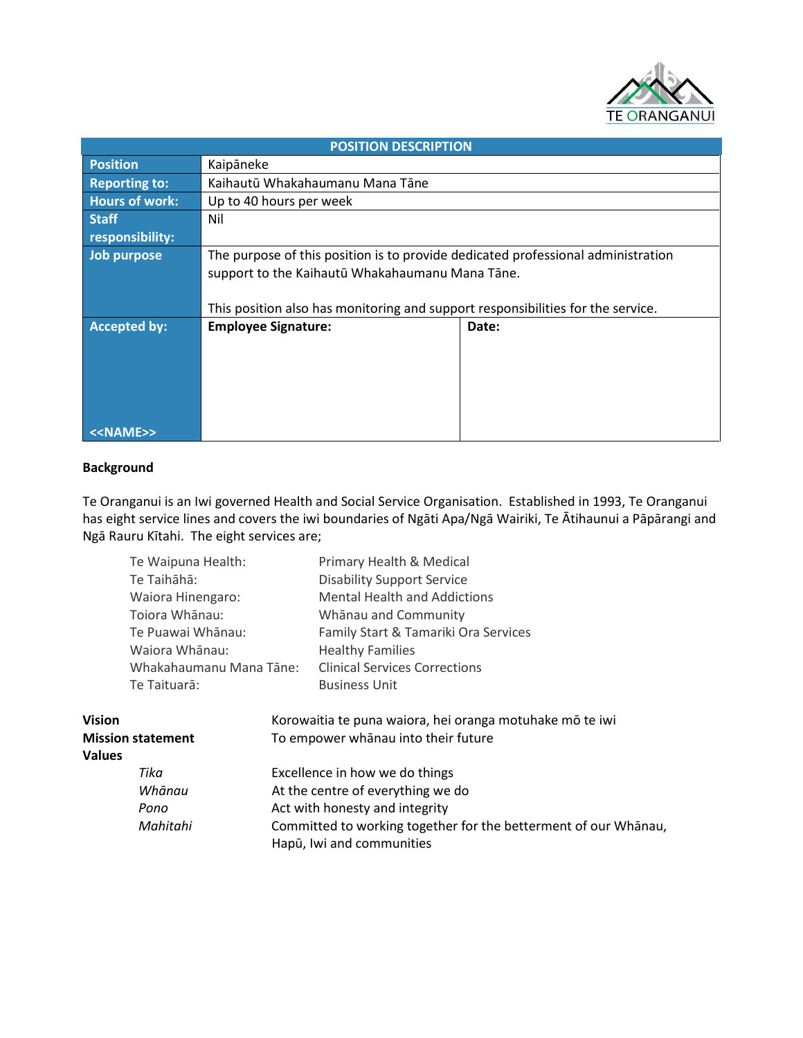

| <b>POSITION DESCRIPTION</b> |                                                                                  |       |  |  |
|-----------------------------|----------------------------------------------------------------------------------|-------|--|--|
| <b>Position</b>             | Kaipāneke                                                                        |       |  |  |
| <b>Reporting to:</b>        | Kaihautū Whakahaumanu Mana Tāne                                                  |       |  |  |
| <b>Hours of work:</b>       | Up to 40 hours per week                                                          |       |  |  |
| <b>Staff</b>                | Nil                                                                              |       |  |  |
| responsibility:             |                                                                                  |       |  |  |
| Job purpose                 | The purpose of this position is to provide dedicated professional administration |       |  |  |
|                             | support to the Kaihautū Whakahaumanu Mana Tāne.                                  |       |  |  |
|                             |                                                                                  |       |  |  |
|                             | This position also has monitoring and support responsibilities for the service.  |       |  |  |
| <b>Accepted by:</b>         | <b>Employee Signature:</b>                                                       | Date: |  |  |
|                             |                                                                                  |       |  |  |
|                             |                                                                                  |       |  |  |
|                             |                                                                                  |       |  |  |
|                             |                                                                                  |       |  |  |
|                             |                                                                                  |       |  |  |
| < <name>&gt;</name>         |                                                                                  |       |  |  |

# **Background**

Te Oranganui is an Iwi governed Health and Social Service Organisation. Established in 1993, Te Oranganui has eight service lines and covers the iwi boundaries of Ngāti Apa/Ngā Wairiki, Te Ātihaunui a Pāpārangi and Ngā Rauru Kītahi. The eight services are;

|                                     | Te Waipuna Health:                  |                                | <b>Primary Health &amp; Medical</b>                                                                 |  |
|-------------------------------------|-------------------------------------|--------------------------------|-----------------------------------------------------------------------------------------------------|--|
|                                     | Te Taihāhā:                         |                                | <b>Disability Support Service</b>                                                                   |  |
|                                     | Waiora Hinengaro:<br>Tojora Whānau: |                                | <b>Mental Health and Addictions</b><br>Whānau and Community<br>Family Start & Tamariki Ora Services |  |
|                                     |                                     |                                |                                                                                                     |  |
| Te Puawai Whānau:<br>Waiora Whānau: |                                     |                                |                                                                                                     |  |
|                                     |                                     |                                | <b>Healthy Families</b>                                                                             |  |
| Whakahaumanu Mana Tāne:             |                                     |                                | <b>Clinical Services Corrections</b>                                                                |  |
|                                     | Te Taituarā:                        |                                | <b>Business Unit</b>                                                                                |  |
| <b>Vision</b>                       |                                     |                                | Korowaitia te puna waiora, hei oranga motuhake mō te iwi                                            |  |
| <b>Mission statement</b>            |                                     |                                | To empower whanau into their future                                                                 |  |
| <b>Values</b>                       |                                     |                                |                                                                                                     |  |
|                                     | Tika                                | Excellence in how we do things |                                                                                                     |  |
|                                     | Whānau                              |                                | At the centre of everything we do                                                                   |  |
|                                     | Pono                                |                                | Act with honesty and integrity                                                                      |  |
|                                     | Mahitahi                            |                                | Committed to working together for the betterment of our Whānau,                                     |  |
|                                     |                                     |                                | Hapū, Iwi and communities                                                                           |  |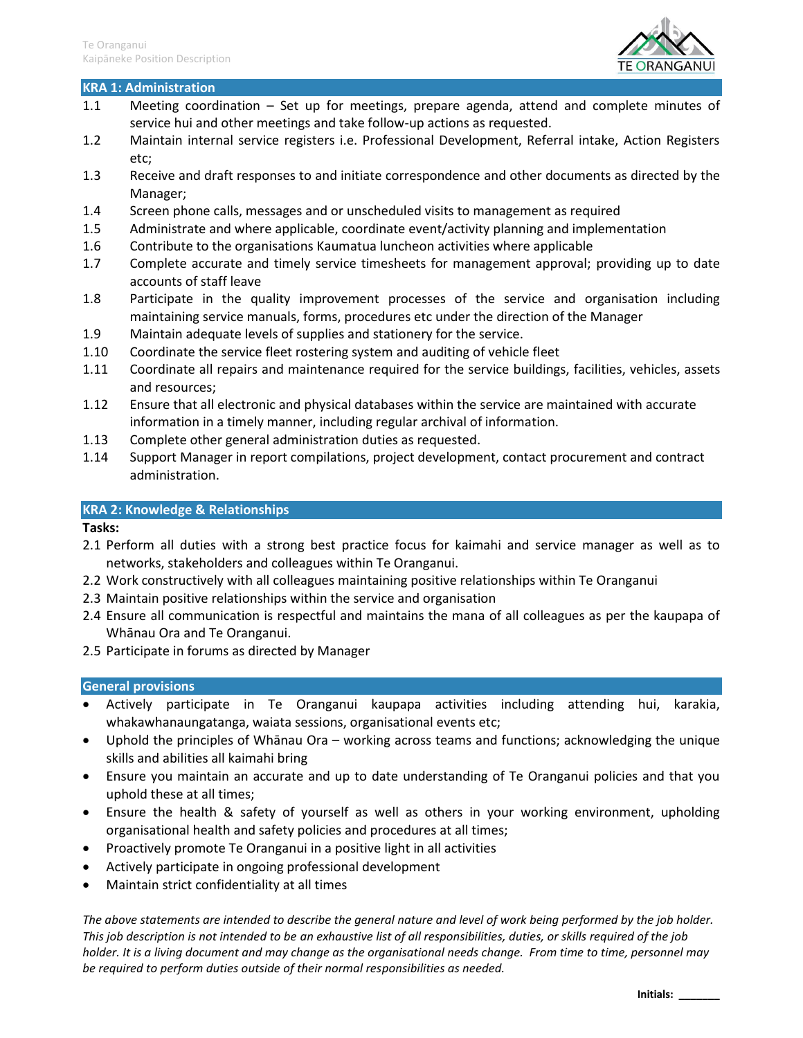

#### **KRA 1: Administration**

- 1.1 Meeting coordination Set up for meetings, prepare agenda, attend and complete minutes of service hui and other meetings and take follow-up actions as requested.
- 1.2 Maintain internal service registers i.e. Professional Development, Referral intake, Action Registers etc;
- 1.3 Receive and draft responses to and initiate correspondence and other documents as directed by the Manager;
- 1.4 Screen phone calls, messages and or unscheduled visits to management as required
- 1.5 Administrate and where applicable, coordinate event/activity planning and implementation
- 1.6 Contribute to the organisations Kaumatua luncheon activities where applicable
- 1.7 Complete accurate and timely service timesheets for management approval; providing up to date accounts of staff leave
- 1.8 Participate in the quality improvement processes of the service and organisation including maintaining service manuals, forms, procedures etc under the direction of the Manager
- 1.9 Maintain adequate levels of supplies and stationery for the service.
- 1.10 Coordinate the service fleet rostering system and auditing of vehicle fleet
- 1.11 Coordinate all repairs and maintenance required for the service buildings, facilities, vehicles, assets and resources;
- 1.12 Ensure that all electronic and physical databases within the service are maintained with accurate information in a timely manner, including regular archival of information.
- 1.13 Complete other general administration duties as requested.
- 1.14 Support Manager in report compilations, project development, contact procurement and contract administration.

#### **KRA 2: Knowledge & Relationships**

## **Tasks:**

- 2.1 Perform all duties with a strong best practice focus for kaimahi and service manager as well as to networks, stakeholders and colleagues within Te Oranganui.
- 2.2 Work constructively with all colleagues maintaining positive relationships within Te Oranganui
- 2.3 Maintain positive relationships within the service and organisation
- 2.4 Ensure all communication is respectful and maintains the mana of all colleagues as per the kaupapa of Whānau Ora and Te Oranganui.
- 2.5 Participate in forums as directed by Manager

## **General provisions**

- Actively participate in Te Oranganui kaupapa activities including attending hui, karakia, whakawhanaungatanga, waiata sessions, organisational events etc;
- Uphold the principles of Whānau Ora working across teams and functions; acknowledging the unique skills and abilities all kaimahi bring
- Ensure you maintain an accurate and up to date understanding of Te Oranganui policies and that you uphold these at all times;
- Ensure the health & safety of yourself as well as others in your working environment, upholding organisational health and safety policies and procedures at all times;
- Proactively promote Te Oranganui in a positive light in all activities
- Actively participate in ongoing professional development
- Maintain strict confidentiality at all times

*The above statements are intended to describe the general nature and level of work being performed by the job holder. This job description is not intended to be an exhaustive list of all responsibilities, duties, or skills required of the job*  holder. It is a living document and may change as the organisational needs change. From time to time, personnel may *be required to perform duties outside of their normal responsibilities as needed.*